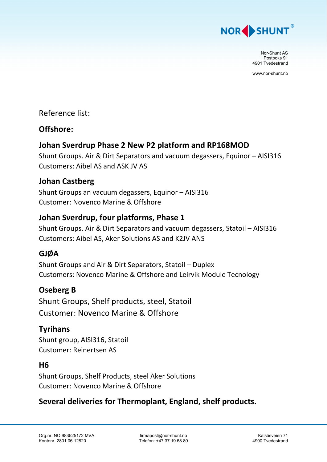

Nor-Shunt AS Postboks 91 4901 Tvedestrand

www.nor-shunt.no

#### Reference list:

#### **Offshore:**

## **Johan Sverdrup Phase 2 New P2 platform and RP168MOD**

Shunt Groups. Air & Dirt Separators and vacuum degassers, Equinor – AISI316 Customers: Aibel AS and ASK JV AS

#### **Johan Castberg**

Shunt Groups an vacuum degassers, Equinor – AISI316 Customer: Novenco Marine & Offshore

## **Johan Sverdrup, four platforms, Phase 1**

Shunt Groups. Air & Dirt Separators and vacuum degassers, Statoil – AISI316 Customers: Aibel AS, Aker Solutions AS and K2JV ANS

#### **GJØA**

Shunt Groups and Air & Dirt Separators, Statoil – Duplex Customers: Novenco Marine & Offshore and Leirvik Module Tecnology

# **Oseberg B**

Shunt Groups, Shelf products, steel, Statoil Customer: Novenco Marine & Offshore

#### **Tyrihans**

Shunt group, AISI316, Statoil Customer: Reinertsen AS

#### **H6**

Shunt Groups, Shelf Products, steel Aker Solutions Customer: Novenco Marine & Offshore

# **Several deliveries for Thermoplant, England, shelf products.**